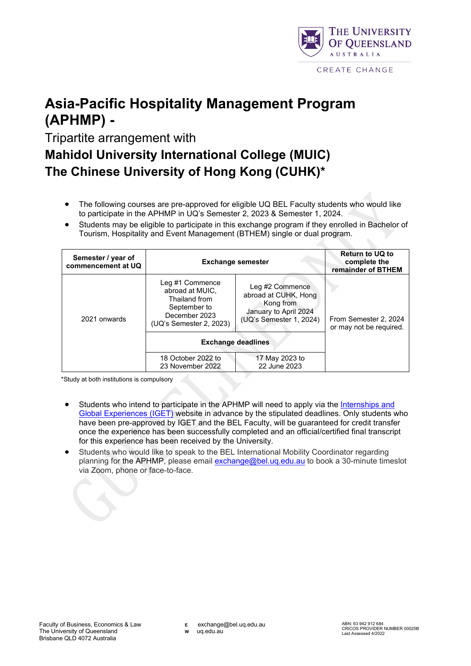

## **Asia-Pacific Hospitality Management Program (APHMP) -**

Tripartite arrangement with

## **Mahidol University International College (MUIC) The Chinese University of Hong Kong (CUHK)\***

- The following courses are pre-approved for eligible UQ BEL Faculty students who would like to participate in the APHMP in UQ's Semester 2, 2023 & Semester 1, 2024.
- Students may be eligible to participate in this exchange program if they enrolled in Bachelor of Tourism, Hospitality and Event Management (BTHEM) single or dual program.

| Semester / year of<br>commencement at UQ | <b>Exchange semester</b>                                                                                        |                                                                                                          | <b>Return to UQ to</b><br>complete the<br>remainder of BTHEM |
|------------------------------------------|-----------------------------------------------------------------------------------------------------------------|----------------------------------------------------------------------------------------------------------|--------------------------------------------------------------|
| 2021 onwards                             | Leg #1 Commence<br>abroad at MUIC.<br>Thailand from<br>September to<br>December 2023<br>(UQ's Semester 2, 2023) | Leg #2 Commence<br>abroad at CUHK, Hong<br>Kong from<br>January to April 2024<br>(UQ's Semester 1, 2024) | From Semester 2, 2024<br>or may not be required.             |
|                                          | <b>Exchange deadlines</b>                                                                                       |                                                                                                          |                                                              |
|                                          | 18 October 2022 to<br>23 November 2022                                                                          | 17 May 2023 to<br>22 June 2023                                                                           |                                                              |

\*Study at both institutions is compulsory

- Students who intend to participate in the APHMP will need to apply via the Internships and [Global Experiences \(IGET\)](https://employability.uq.edu.au/get-edge/global-experiences/semester-based-exchange/applying-exchange) website in advance by the stipulated deadlines. Only students who have been pre-approved by IGET and the BEL Faculty, will be guaranteed for credit transfer once the experience has been successfully completed and an official/certified final transcript for this experience has been received by the University.
- Students who would like to speak to the BEL International Mobility Coordinator regarding planning for the APHMP, please email [exchange@bel.uq.edu.au](mailto:exchange@bel.uq.edu.au) to book a 30-minute timeslot via Zoom, phone or face-to-face.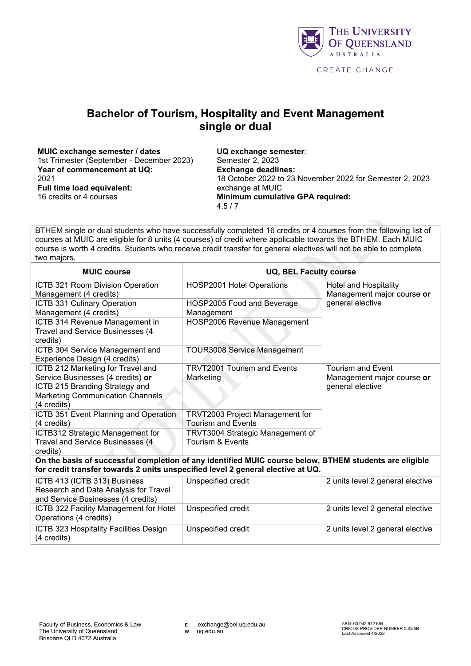

## **Bachelor of Tourism, Hospitality and Event Management single or dual**

**MUIC exchange semester / dates** 1st Trimester (September - December 2023) **Year of commencement at UQ:** 2021 **Full time load equivalent:** 16 credits or 4 courses

**UQ exchange semester**: Semester 2, 2023 **Exchange deadlines:** 18 October 2022 to 23 November 2022 for Semester 2, 2023 exchange at MUIC **Minimum cumulative GPA required:**  4.5 / 7

BTHEM single or dual students who have successfully completed 16 credits or 4 courses from the following list of courses at MUIC are eligible for 8 units (4 courses) of credit where applicable towards the BTHEM. Each MUIC course is worth 4 credits. Students who receive credit transfer for general electives will not be able to complete two majors.

| <b>MUIC course</b>                                                                                                                                                                        | <b>UQ, BEL Faculty course</b>                                |                                                                            |  |  |  |
|-------------------------------------------------------------------------------------------------------------------------------------------------------------------------------------------|--------------------------------------------------------------|----------------------------------------------------------------------------|--|--|--|
| ICTB 321 Room Division Operation<br>Management (4 credits)                                                                                                                                | HOSP2001 Hotel Operations                                    | <b>Hotel and Hospitality</b><br>Management major course or                 |  |  |  |
| ICTB 331 Culinary Operation<br>Management (4 credits)                                                                                                                                     | HOSP2005 Food and Beverage<br>Management                     | general elective                                                           |  |  |  |
| ICTB 314 Revenue Management in<br>Travel and Service Businesses (4<br>credits)                                                                                                            | HOSP2006 Revenue Management                                  |                                                                            |  |  |  |
| ICTB 304 Service Management and<br>Experience Design (4 credits)                                                                                                                          | <b>TOUR3008 Service Management</b>                           |                                                                            |  |  |  |
| ICTB 212 Marketing for Travel and<br>Service Businesses (4 credits) or<br>ICTB 215 Branding Strategy and<br>Marketing Communication Channels<br>(4 credits)                               | <b>TRVT2001 Tourism and Events</b><br>Marketing              | <b>Tourism and Event</b><br>Management major course or<br>general elective |  |  |  |
| ICTB 351 Event Planning and Operation<br>(4 credits)                                                                                                                                      | TRVT2003 Project Management for<br><b>Tourism and Events</b> |                                                                            |  |  |  |
| ICTB312 Strategic Management for<br>Travel and Service Businesses (4<br>credits)                                                                                                          | TRVT3004 Strategic Management of<br>Tourism & Events         |                                                                            |  |  |  |
| On the basis of successful completion of any identified MUIC course below, BTHEM students are eligible<br>for credit transfer towards 2 units unspecified level 2 general elective at UQ. |                                                              |                                                                            |  |  |  |
| ICTB 413 (ICTB 313) Business<br>Research and Data Analysis for Travel<br>and Service Businesses (4 credits)                                                                               | Unspecified credit                                           | 2 units level 2 general elective                                           |  |  |  |
| ICTB 322 Facility Management for Hotel<br>Operations (4 credits)                                                                                                                          | Unspecified credit                                           | 2 units level 2 general elective                                           |  |  |  |
| ICTB 323 Hospitality Facilities Design<br>(4 credits)                                                                                                                                     | Unspecified credit                                           | 2 units level 2 general elective                                           |  |  |  |